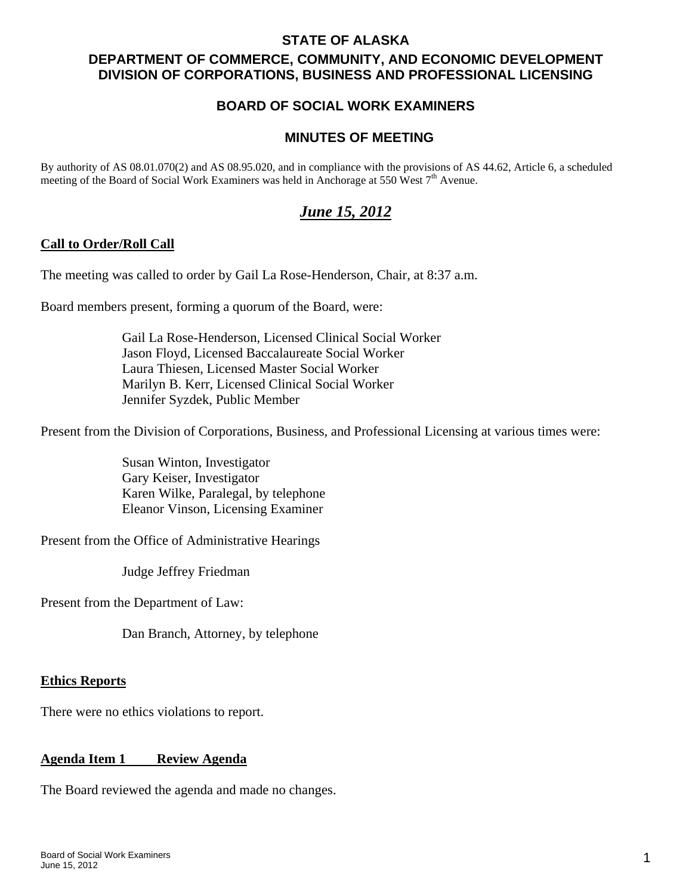### **STATE OF ALASKA**

# **DEPARTMENT OF COMMERCE, COMMUNITY, AND ECONOMIC DEVELOPMENT DIVISION OF CORPORATIONS, BUSINESS AND PROFESSIONAL LICENSING**

# **BOARD OF SOCIAL WORK EXAMINERS**

### **MINUTES OF MEETING**

By authority of AS 08.01.070(2) and AS 08.95.020, and in compliance with the provisions of AS 44.62, Article 6, a scheduled meeting of the Board of Social Work Examiners was held in Anchorage at 550 West  $7<sup>th</sup>$  Avenue.

# *June 15, 2012*

#### **Call to Order/Roll Call**

The meeting was called to order by Gail La Rose-Henderson, Chair, at 8:37 a.m.

Board members present, forming a quorum of the Board, were:

 Gail La Rose-Henderson, Licensed Clinical Social Worker Jason Floyd, Licensed Baccalaureate Social Worker Laura Thiesen, Licensed Master Social Worker Marilyn B. Kerr, Licensed Clinical Social Worker Jennifer Syzdek, Public Member

Present from the Division of Corporations, Business, and Professional Licensing at various times were:

 Susan Winton, Investigator Gary Keiser, Investigator Karen Wilke, Paralegal, by telephone Eleanor Vinson, Licensing Examiner

Present from the Office of Administrative Hearings

Judge Jeffrey Friedman

Present from the Department of Law:

Dan Branch, Attorney, by telephone

#### **Ethics Reports**

There were no ethics violations to report.

# **Agenda Item 1 Review Agenda**

The Board reviewed the agenda and made no changes.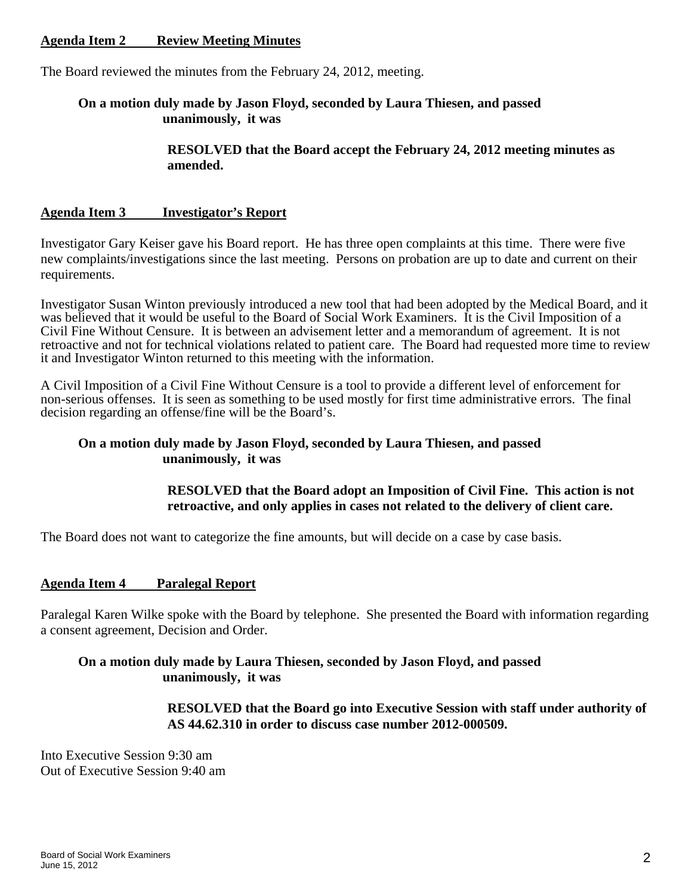### **Agenda Item 2 Review Meeting Minutes**

The Board reviewed the minutes from the February 24, 2012, meeting.

### **On a motion duly made by Jason Floyd, seconded by Laura Thiesen, and passed unanimously, it was**

 **RESOLVED that the Board accept the February 24, 2012 meeting minutes as amended.** 

#### **Agenda Item 3 Investigator's Report**

Investigator Gary Keiser gave his Board report. He has three open complaints at this time. There were five new complaints/investigations since the last meeting. Persons on probation are up to date and current on their requirements.

Investigator Susan Winton previously introduced a new tool that had been adopted by the Medical Board, and it was believed that it would be useful to the Board of Social Work Examiners. It is the Civil Imposition of a Civil Fine Without Censure. It is between an advisement letter and a memorandum of agreement. It is not retroactive and not for technical violations related to patient care. The Board had requested more time to review it and Investigator Winton returned to this meeting with the information.

A Civil Imposition of a Civil Fine Without Censure is a tool to provide a different level of enforcement for non-serious offenses. It is seen as something to be used mostly for first time administrative errors. The final decision regarding an offense/fine will be the Board's.

#### **On a motion duly made by Jason Floyd, seconded by Laura Thiesen, and passed unanimously, it was**

#### **RESOLVED that the Board adopt an Imposition of Civil Fine. This action is not retroactive, and only applies in cases not related to the delivery of client care.**

The Board does not want to categorize the fine amounts, but will decide on a case by case basis.

#### **Agenda Item 4 Paralegal Report**

Paralegal Karen Wilke spoke with the Board by telephone. She presented the Board with information regarding a consent agreement, Decision and Order.

#### **On a motion duly made by Laura Thiesen, seconded by Jason Floyd, and passed unanimously, it was**

 **RESOLVED that the Board go into Executive Session with staff under authority of AS 44.62.310 in order to discuss case number 2012-000509.** 

Into Executive Session 9:30 am Out of Executive Session 9:40 am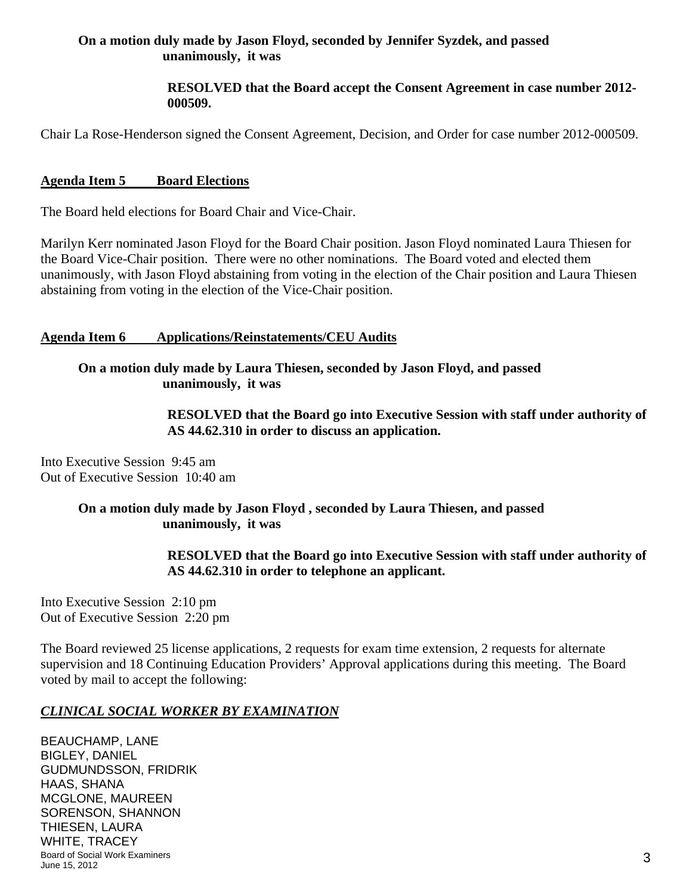### **On a motion duly made by Jason Floyd, seconded by Jennifer Syzdek, and passed unanimously, it was**

### **RESOLVED that the Board accept the Consent Agreement in case number 2012- 000509.**

Chair La Rose-Henderson signed the Consent Agreement, Decision, and Order for case number 2012-000509.

### **Agenda Item 5 Board Elections**

The Board held elections for Board Chair and Vice-Chair.

Marilyn Kerr nominated Jason Floyd for the Board Chair position. Jason Floyd nominated Laura Thiesen for the Board Vice-Chair position. There were no other nominations. The Board voted and elected them unanimously, with Jason Floyd abstaining from voting in the election of the Chair position and Laura Thiesen abstaining from voting in the election of the Vice-Chair position.

### **Agenda Item 6 Applications/Reinstatements/CEU Audits**

### **On a motion duly made by Laura Thiesen, seconded by Jason Floyd, and passed unanimously, it was**

 **RESOLVED that the Board go into Executive Session with staff under authority of AS 44.62.310 in order to discuss an application.** 

Into Executive Session 9:45 am Out of Executive Session 10:40 am

### **On a motion duly made by Jason Floyd , seconded by Laura Thiesen, and passed unanimously, it was**

 **RESOLVED that the Board go into Executive Session with staff under authority of AS 44.62.310 in order to telephone an applicant.** 

Into Executive Session 2:10 pm Out of Executive Session 2:20 pm

The Board reviewed 25 license applications, 2 requests for exam time extension, 2 requests for alternate supervision and 18 Continuing Education Providers' Approval applications during this meeting. The Board voted by mail to accept the following:

### *CLINICAL SOCIAL WORKER BY EXAMINATION*

Board of Social Work Examiners June 15, 2012 3 BEAUCHAMP, LANE BIGLEY, DANIEL GUDMUNDSSON, FRIDRIK HAAS, SHANA MCGLONE, MAUREEN SORENSON, SHANNON THIESEN, LAURA WHITE, TRACEY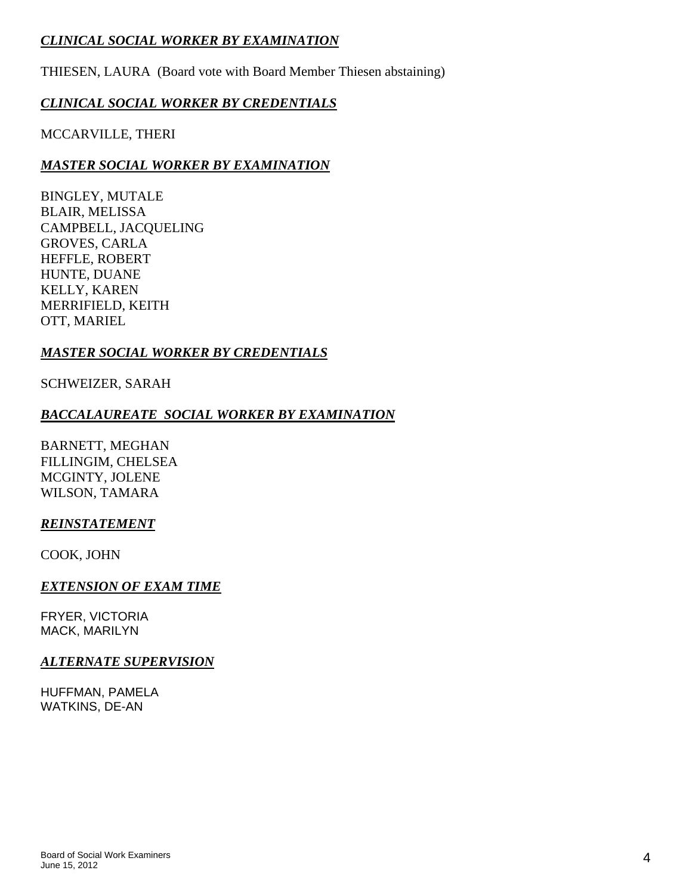# *CLINICAL SOCIAL WORKER BY EXAMINATION*

THIESEN, LAURA (Board vote with Board Member Thiesen abstaining)

# *CLINICAL SOCIAL WORKER BY CREDENTIALS*

### MCCARVILLE, THERI

## *MASTER SOCIAL WORKER BY EXAMINATION*

BINGLEY, MUTALE BLAIR, MELISSA CAMPBELL, JACQUELING GROVES, CARLA HEFFLE, ROBERT HUNTE, DUANE KELLY, KAREN MERRIFIELD, KEITH OTT, MARIEL

### *MASTER SOCIAL WORKER BY CREDENTIALS*

### SCHWEIZER, SARAH

### *BACCALAUREATE SOCIAL WORKER BY EXAMINATION*

BARNETT, MEGHAN FILLINGIM, CHELSEA MCGINTY, JOLENE WILSON, TAMARA

### *REINSTATEMENT*

COOK, JOHN

### *EXTENSION OF EXAM TIME*

FRYER, VICTORIA MACK, MARILYN

### *ALTERNATE SUPERVISION*

HUFFMAN, PAMELA WATKINS, DE-AN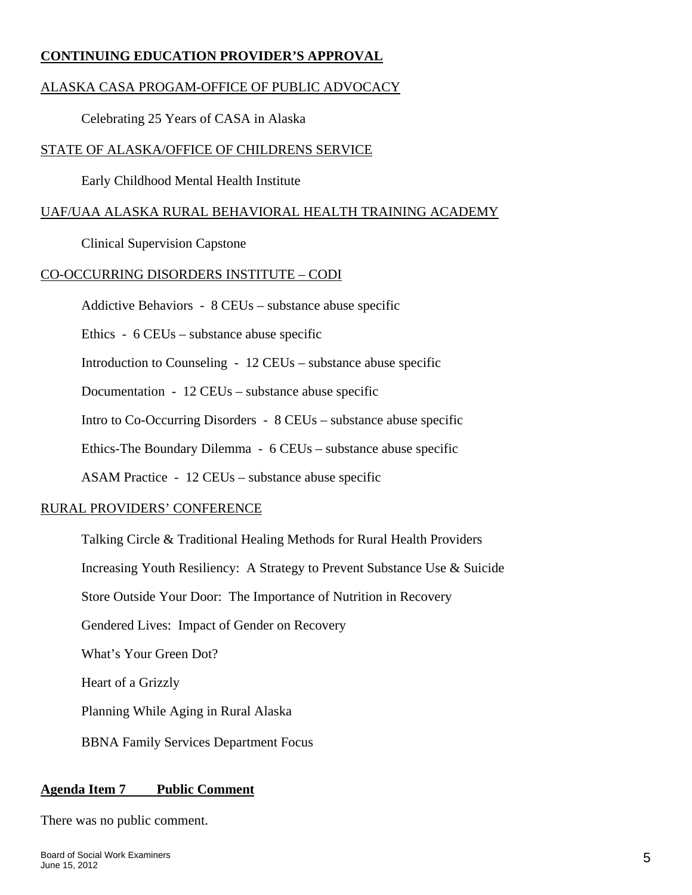### **CONTINUING EDUCATION PROVIDER'S APPROVAL**

### ALASKA CASA PROGAM-OFFICE OF PUBLIC ADVOCACY

Celebrating 25 Years of CASA in Alaska

#### STATE OF ALASKA/OFFICE OF CHILDRENS SERVICE

Early Childhood Mental Health Institute

### UAF/UAA ALASKA RURAL BEHAVIORAL HEALTH TRAINING ACADEMY

Clinical Supervision Capstone

#### CO-OCCURRING DISORDERS INSTITUTE – CODI

Addictive Behaviors - 8 CEUs – substance abuse specific

Ethics - 6 CEUs – substance abuse specific

Introduction to Counseling - 12 CEUs – substance abuse specific

Documentation - 12 CEUs – substance abuse specific

Intro to Co-Occurring Disorders - 8 CEUs – substance abuse specific

Ethics-The Boundary Dilemma - 6 CEUs – substance abuse specific

ASAM Practice - 12 CEUs – substance abuse specific

#### RURAL PROVIDERS' CONFERENCE

Talking Circle & Traditional Healing Methods for Rural Health Providers

Increasing Youth Resiliency: A Strategy to Prevent Substance Use & Suicide

Store Outside Your Door: The Importance of Nutrition in Recovery

Gendered Lives: Impact of Gender on Recovery

What's Your Green Dot?

Heart of a Grizzly

Planning While Aging in Rural Alaska

BBNA Family Services Department Focus

#### **Agenda Item 7 Public Comment**

There was no public comment.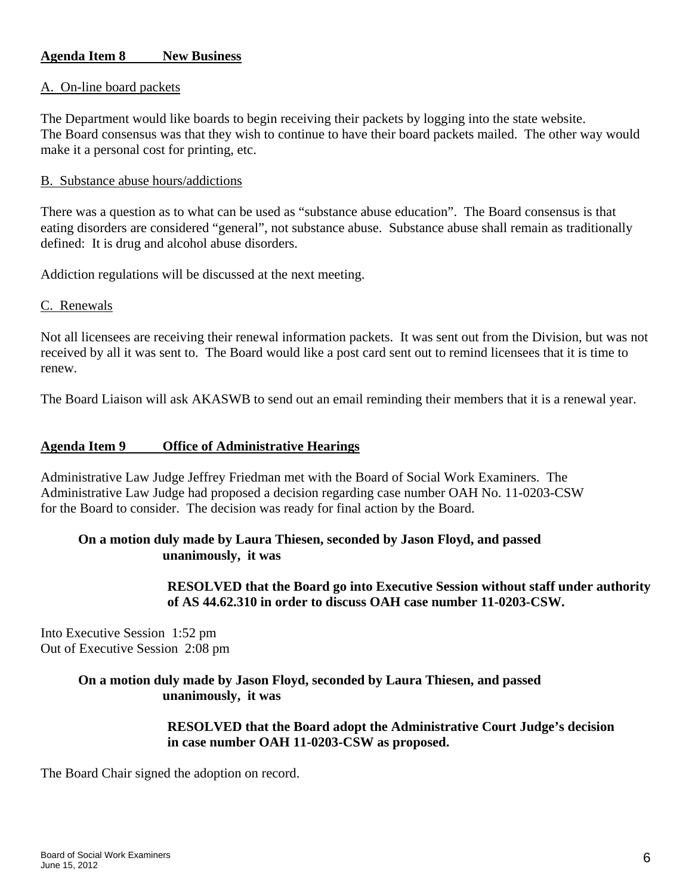### **Agenda Item 8 New Business**

#### A. On-line board packets

The Department would like boards to begin receiving their packets by logging into the state website. The Board consensus was that they wish to continue to have their board packets mailed. The other way would make it a personal cost for printing, etc.

#### B. Substance abuse hours/addictions

There was a question as to what can be used as "substance abuse education". The Board consensus is that eating disorders are considered "general", not substance abuse. Substance abuse shall remain as traditionally defined: It is drug and alcohol abuse disorders.

Addiction regulations will be discussed at the next meeting.

#### C. Renewals

Not all licensees are receiving their renewal information packets. It was sent out from the Division, but was not received by all it was sent to. The Board would like a post card sent out to remind licensees that it is time to renew.

The Board Liaison will ask AKASWB to send out an email reminding their members that it is a renewal year.

#### **Agenda Item 9 Office of Administrative Hearings**

Administrative Law Judge Jeffrey Friedman met with the Board of Social Work Examiners. The Administrative Law Judge had proposed a decision regarding case number OAH No. 11-0203-CSW for the Board to consider. The decision was ready for final action by the Board.

#### **On a motion duly made by Laura Thiesen, seconded by Jason Floyd, and passed unanimously, it was**

 **RESOLVED that the Board go into Executive Session without staff under authority of AS 44.62.310 in order to discuss OAH case number 11-0203-CSW.** 

Into Executive Session 1:52 pm Out of Executive Session 2:08 pm

### **On a motion duly made by Jason Floyd, seconded by Laura Thiesen, and passed unanimously, it was**

 **RESOLVED that the Board adopt the Administrative Court Judge's decision in case number OAH 11-0203-CSW as proposed.** 

The Board Chair signed the adoption on record.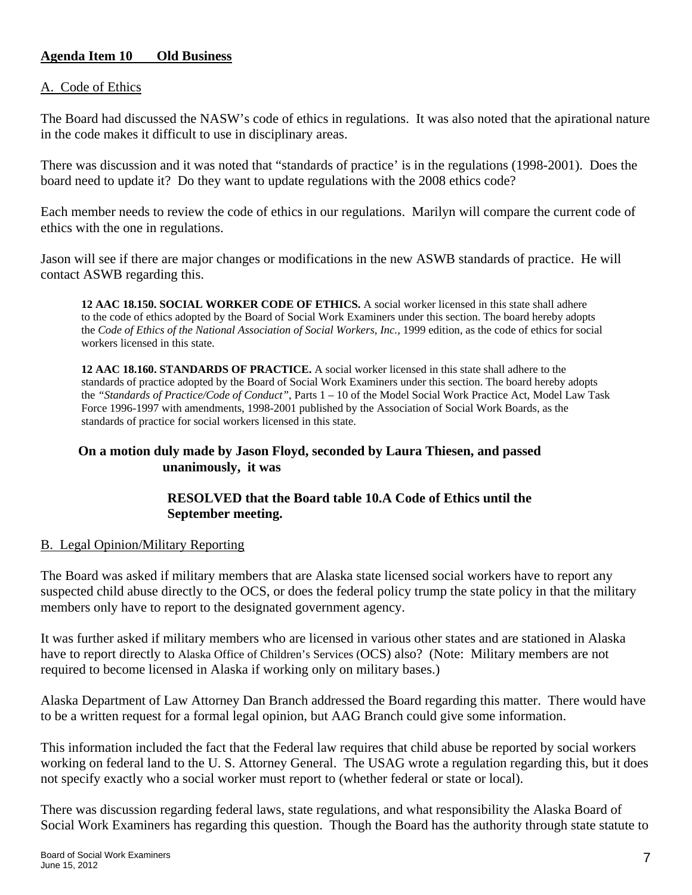### **Agenda Item 10 Old Business**

#### A. Code of Ethics

The Board had discussed the NASW's code of ethics in regulations. It was also noted that the apirational nature in the code makes it difficult to use in disciplinary areas.

There was discussion and it was noted that "standards of practice' is in the regulations (1998-2001). Does the board need to update it? Do they want to update regulations with the 2008 ethics code?

Each member needs to review the code of ethics in our regulations. Marilyn will compare the current code of ethics with the one in regulations.

Jason will see if there are major changes or modifications in the new ASWB standards of practice. He will contact ASWB regarding this.

**12 AAC 18.150. SOCIAL WORKER CODE OF ETHICS.** A social worker licensed in this state shall adhere to the code of ethics adopted by the Board of Social Work Examiners under this section. The board hereby adopts the *Code of Ethics of the National Association of Social Workers, Inc., 1999 edition, as the code of ethics for social* workers licensed in this state.

**12 AAC 18.160. STANDARDS OF PRACTICE.** A social worker licensed in this state shall adhere to the standards of practice adopted by the Board of Social Work Examiners under this section. The board hereby adopts the *"Standards of Practice/Code of Conduct"*, Parts 1 – 10 of the Model Social Work Practice Act, Model Law Task Force 1996-1997 with amendments, 1998-2001 published by the Association of Social Work Boards, as the standards of practice for social workers licensed in this state.

### **On a motion duly made by Jason Floyd, seconded by Laura Thiesen, and passed unanimously, it was**

### **RESOLVED that the Board table 10.A Code of Ethics until the September meeting.**

#### B. Legal Opinion/Military Reporting

The Board was asked if military members that are Alaska state licensed social workers have to report any suspected child abuse directly to the OCS, or does the federal policy trump the state policy in that the military members only have to report to the designated government agency.

It was further asked if military members who are licensed in various other states and are stationed in Alaska have to report directly to Alaska Office of Children's Services (OCS) also? (Note: Military members are not required to become licensed in Alaska if working only on military bases.)

Alaska Department of Law Attorney Dan Branch addressed the Board regarding this matter. There would have to be a written request for a formal legal opinion, but AAG Branch could give some information.

This information included the fact that the Federal law requires that child abuse be reported by social workers working on federal land to the U. S. Attorney General. The USAG wrote a regulation regarding this, but it does not specify exactly who a social worker must report to (whether federal or state or local).

There was discussion regarding federal laws, state regulations, and what responsibility the Alaska Board of Social Work Examiners has regarding this question. Though the Board has the authority through state statute to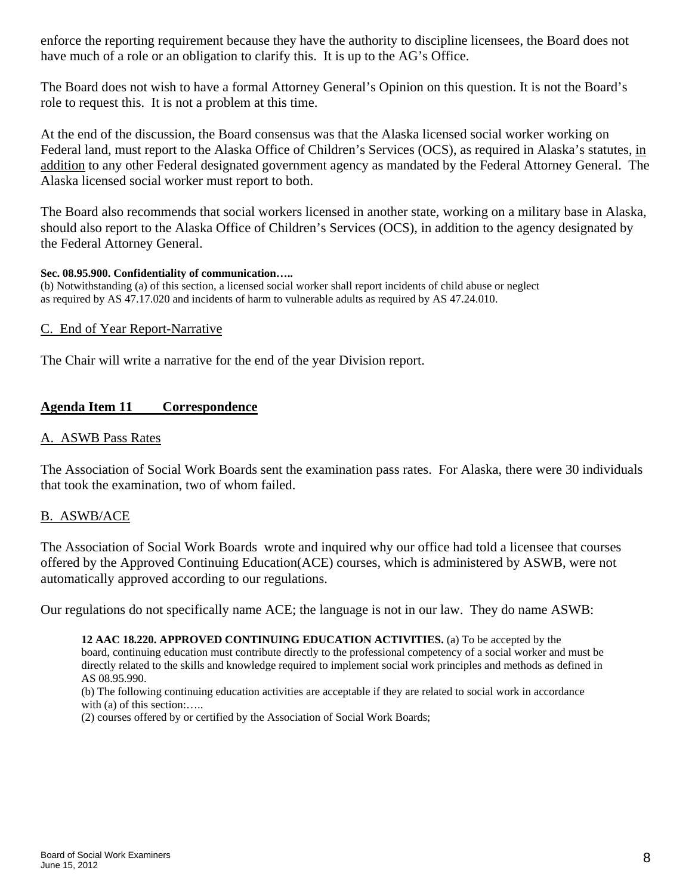enforce the reporting requirement because they have the authority to discipline licensees, the Board does not have much of a role or an obligation to clarify this. It is up to the AG's Office.

The Board does not wish to have a formal Attorney General's Opinion on this question. It is not the Board's role to request this. It is not a problem at this time.

At the end of the discussion, the Board consensus was that the Alaska licensed social worker working on Federal land, must report to the Alaska Office of Children's Services (OCS), as required in Alaska's statutes, in addition to any other Federal designated government agency as mandated by the Federal Attorney General. The Alaska licensed social worker must report to both.

The Board also recommends that social workers licensed in another state, working on a military base in Alaska, should also report to the Alaska Office of Children's Services (OCS), in addition to the agency designated by the Federal Attorney General.

#### **Sec. 08.95.900. Confidentiality of communication…..**

(b) Notwithstanding (a) of this section, a licensed social worker shall report incidents of child abuse or neglect as required by AS 47.17.020 and incidents of harm to vulnerable adults as required by AS 47.24.010.

#### C. End of Year Report-Narrative

The Chair will write a narrative for the end of the year Division report.

### **Agenda Item 11 Correspondence**

### A. ASWB Pass Rates

The Association of Social Work Boards sent the examination pass rates. For Alaska, there were 30 individuals that took the examination, two of whom failed.

#### B. ASWB/ACE

The Association of Social Work Boards wrote and inquired why our office had told a licensee that courses offered by the Approved Continuing Education(ACE) courses, which is administered by ASWB, were not automatically approved according to our regulations.

Our regulations do not specifically name ACE; the language is not in our law. They do name ASWB:

**12 AAC 18.220. APPROVED CONTINUING EDUCATION ACTIVITIES.** (a) To be accepted by the board, continuing education must contribute directly to the professional competency of a social worker and must be directly related to the skills and knowledge required to implement social work principles and methods as defined in AS 08.95.990.

(b) The following continuing education activities are acceptable if they are related to social work in accordance with (a) of this section:.....

(2) courses offered by or certified by the Association of Social Work Boards;